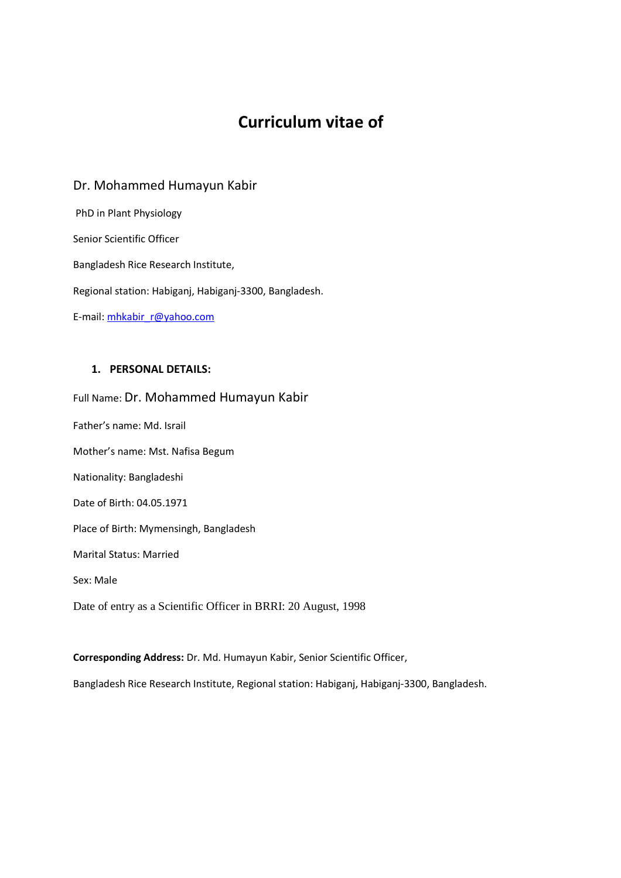# **Curriculum vitae of**

## Dr. Mohammed Humayun Kabir

 PhD in Plant Physiology Senior Scientific Officer Bangladesh Rice Research Institute, Regional station: Habiganj, Habiganj-3300, Bangladesh. E-mail: mhkabir\_r@yahoo.com

## **1. PERSONAL DETAILS:**

Full Name: Dr. Mohammed Humayun Kabir Father's name: Md. Israil Mother's name: Mst. Nafisa Begum Nationality: Bangladeshi Date of Birth: 04.05.1971 Place of Birth: Mymensingh, Bangladesh Marital Status: Married Sex: Male Date of entry as a Scientific Officer in BRRI: 20 August, 1998

**Corresponding Address:** Dr. Md. Humayun Kabir, Senior Scientific Officer,

Bangladesh Rice Research Institute, Regional station: Habiganj, Habiganj-3300, Bangladesh.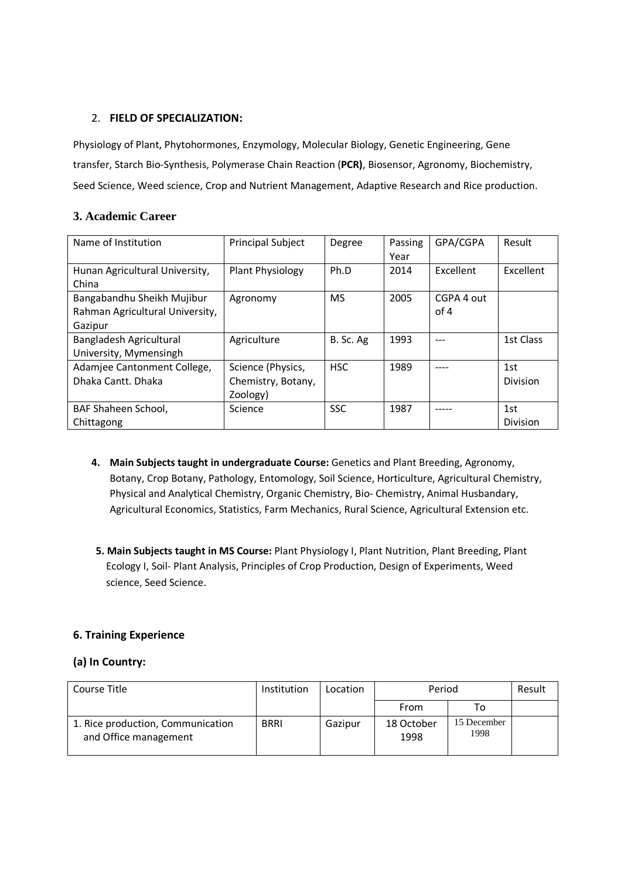#### 2. **FIELD OF SPECIALIZATION:**

Physiology of Plant, Phytohormones, Enzymology, Molecular Biology, Genetic Engineering, Gene transfer, Starch Bio-Synthesis, Polymerase Chain Reaction (**PCR)**, Biosensor, Agronomy, Biochemistry, Seed Science, Weed science, Crop and Nutrient Management, Adaptive Research and Rice production.

## **3. Academic Career**

| Name of Institution                                                      | <b>Principal Subject</b>                            | Degree     | Passing<br>Year | GPA/CGPA           | Result           |
|--------------------------------------------------------------------------|-----------------------------------------------------|------------|-----------------|--------------------|------------------|
| Hunan Agricultural University,<br>China                                  | Plant Physiology                                    | Ph.D       | 2014            | Excellent          | <b>Fxcellent</b> |
| Bangabandhu Sheikh Mujibur<br>Rahman Agricultural University,<br>Gazipur | Agronomy                                            | <b>MS</b>  | 2005            | CGPA 4 out<br>of 4 |                  |
| Bangladesh Agricultural<br>University, Mymensingh                        | Agriculture                                         | B. Sc. Ag  | 1993            |                    | 1st Class        |
| Adamjee Cantonment College,<br>Dhaka Cantt, Dhaka                        | Science (Physics,<br>Chemistry, Botany,<br>Zoology) | <b>HSC</b> | 1989            |                    | 1st<br>Division  |
| BAF Shaheen School,<br>Chittagong                                        | Science                                             | <b>SSC</b> | 1987            |                    | 1st<br>Division  |

- **4. Main Subjects taught in undergraduate Course:** Genetics and Plant Breeding, Agronomy, Botany, Crop Botany, Pathology, Entomology, Soil Science, Horticulture, Agricultural Chemistry, Physical and Analytical Chemistry, Organic Chemistry, Bio- Chemistry, Animal Husbandary, Agricultural Economics, Statistics, Farm Mechanics, Rural Science, Agricultural Extension etc.
- **5. Main Subjects taught in MS Course:** Plant Physiology I, Plant Nutrition, Plant Breeding, Plant Ecology I, Soil- Plant Analysis, Principles of Crop Production, Design of Experiments, Weed science, Seed Science.

## **6. Training Experience**

## **(a) In Country:**

| Course Title                                               | Institution | Location | Period             |                     | Result |
|------------------------------------------------------------|-------------|----------|--------------------|---------------------|--------|
|                                                            |             |          | From               | To                  |        |
| 1. Rice production, Communication<br>and Office management | <b>BRRI</b> | Gazipur  | 18 October<br>1998 | 15 December<br>1998 |        |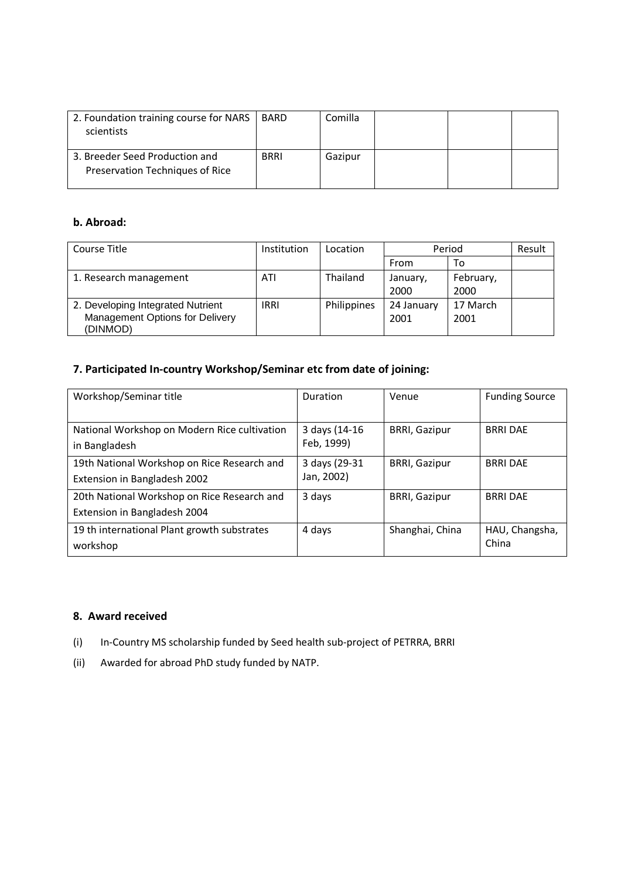| 2. Foundation training course for NARS<br>scientists              | BARD        | Comilla |  |  |
|-------------------------------------------------------------------|-------------|---------|--|--|
| 3. Breeder Seed Production and<br>Preservation Techniques of Rice | <b>BRRI</b> | Gazipur |  |  |

## **b. Abroad:**

| Course Title                                | Institution | Location    | Period     |           | Result |
|---------------------------------------------|-------------|-------------|------------|-----------|--------|
|                                             |             |             | From       | To        |        |
| 1. Research management                      | ATI         | Thailand    | January,   | February, |        |
|                                             |             |             | 2000       | 2000      |        |
| 2. Developing Integrated Nutrient           | <b>IRRI</b> | Philippines | 24 January | 17 March  |        |
| Management Options for Delivery<br>(DINMOD) |             |             | 2001       | 2001      |        |

## **7. Participated In-country Workshop/Seminar etc from date of joining:**

| Workshop/Seminar title                                                      | Duration                    | Venue                | <b>Funding Source</b>   |
|-----------------------------------------------------------------------------|-----------------------------|----------------------|-------------------------|
| National Workshop on Modern Rice cultivation<br>in Bangladesh               | 3 days (14-16<br>Feb, 1999) | <b>BRRI, Gazipur</b> | <b>BRRI DAE</b>         |
| 19th National Workshop on Rice Research and<br>Extension in Bangladesh 2002 | 3 days (29-31<br>Jan, 2002) | <b>BRRI, Gazipur</b> | <b>BRRI DAE</b>         |
| 20th National Workshop on Rice Research and<br>Extension in Bangladesh 2004 | 3 days                      | <b>BRRI, Gazipur</b> | <b>BRRI DAE</b>         |
| 19 th international Plant growth substrates<br>workshop                     | 4 days                      | Shanghai, China      | HAU, Changsha,<br>China |

## **8. Award received**

- (i) In-Country MS scholarship funded by Seed health sub-project of PETRRA, BRRI
- (ii) Awarded for abroad PhD study funded by NATP.